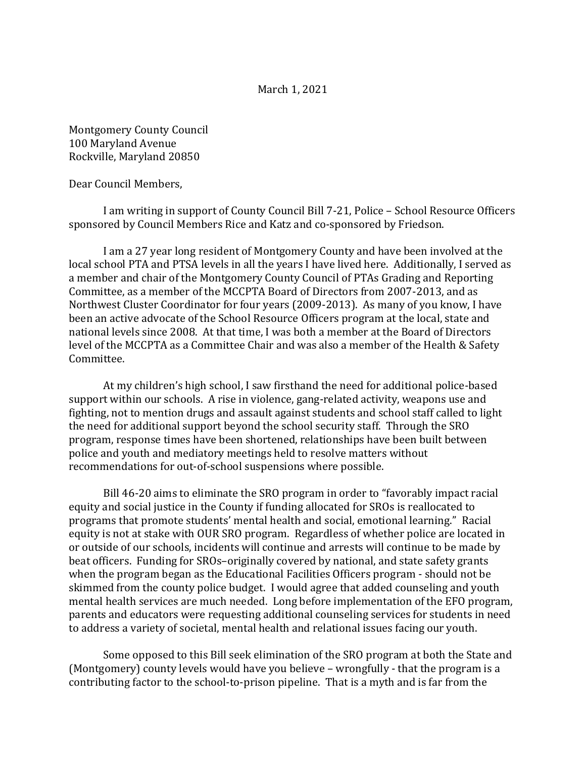## March 1, 2021

Montgomery County Council 100 Maryland Avenue Rockville, Maryland 20850

Dear Council Members,

I am writing in support of County Council Bill 7-21, Police – School Resource Officers sponsored by Council Members Rice and Katz and co-sponsored by Friedson.

I am a 27 year long resident of Montgomery County and have been involved at the local school PTA and PTSA levels in all the years I have lived here. Additionally, I served as a member and chair of the Montgomery County Council of PTAs Grading and Reporting Committee, as a member of the MCCPTA Board of Directors from 2007-2013, and as Northwest Cluster Coordinator for four years (2009-2013). As many of you know, I have been an active advocate of the School Resource Officers program at the local, state and national levels since 2008. At that time, I was both a member at the Board of Directors level of the MCCPTA as a Committee Chair and was also a member of the Health & Safety Committee.

At my children's high school, I saw firsthand the need for additional police-based support within our schools. A rise in violence, gang-related activity, weapons use and fighting, not to mention drugs and assault against students and school staff called to light the need for additional support beyond the school security staff. Through the SRO program, response times have been shortened, relationships have been built between police and youth and mediatory meetings held to resolve matters without recommendations for out-of-school suspensions where possible.

 Bill 46-20 aims to eliminate the SRO program in order to "favorably impact racial equity and social justice in the County if funding allocated for SROs is reallocated to programs that promote students' mental health and social, emotional learning." Racial equity is not at stake with OUR SRO program. Regardless of whether police are located in or outside of our schools, incidents will continue and arrests will continue to be made by beat officers. Funding for SROs–originally covered by national, and state safety grants when the program began as the Educational Facilities Officers program - should not be skimmed from the county police budget. I would agree that added counseling and youth mental health services are much needed. Long before implementation of the EFO program, parents and educators were requesting additional counseling services for students in need to address a variety of societal, mental health and relational issues facing our youth.

Some opposed to this Bill seek elimination of the SRO program at both the State and (Montgomery) county levels would have you believe – wrongfully - that the program is a contributing factor to the school-to-prison pipeline. That is a myth and is far from the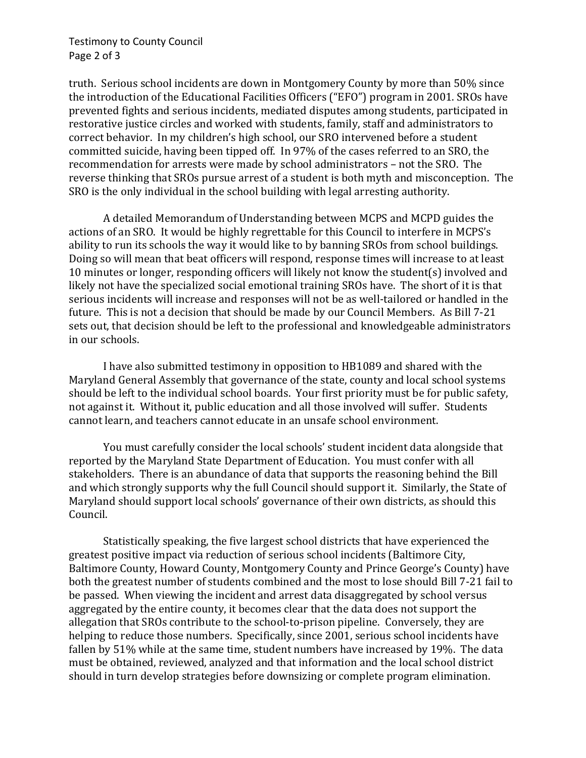truth. Serious school incidents are down in Montgomery County by more than 50% since the introduction of the Educational Facilities Officers ("EFO") program in 2001. SROs have prevented fights and serious incidents, mediated disputes among students, participated in restorative justice circles and worked with students, family, staff and administrators to correct behavior. In my children's high school, our SRO intervened before a student committed suicide, having been tipped off. In 97% of the cases referred to an SRO, the recommendation for arrests were made by school administrators – not the SRO. The reverse thinking that SROs pursue arrest of a student is both myth and misconception. The SRO is the only individual in the school building with legal arresting authority.

A detailed Memorandum of Understanding between MCPS and MCPD guides the actions of an SRO. It would be highly regrettable for this Council to interfere in MCPS's ability to run its schools the way it would like to by banning SROs from school buildings. Doing so will mean that beat officers will respond, response times will increase to at least 10 minutes or longer, responding officers will likely not know the student(s) involved and likely not have the specialized social emotional training SROs have. The short of it is that serious incidents will increase and responses will not be as well-tailored or handled in the future. This is not a decision that should be made by our Council Members. As Bill 7-21 sets out, that decision should be left to the professional and knowledgeable administrators in our schools.

I have also submitted testimony in opposition to HB1089 and shared with the Maryland General Assembly that governance of the state, county and local school systems should be left to the individual school boards. Your first priority must be for public safety, not against it. Without it, public education and all those involved will suffer. Students cannot learn, and teachers cannot educate in an unsafe school environment.

You must carefully consider the local schools' student incident data alongside that reported by the Maryland State Department of Education. You must confer with all stakeholders. There is an abundance of data that supports the reasoning behind the Bill and which strongly supports why the full Council should support it. Similarly, the State of Maryland should support local schools' governance of their own districts, as should this Council.

Statistically speaking, the five largest school districts that have experienced the greatest positive impact via reduction of serious school incidents (Baltimore City, Baltimore County, Howard County, Montgomery County and Prince George's County) have both the greatest number of students combined and the most to lose should Bill 7-21 fail to be passed. When viewing the incident and arrest data disaggregated by school versus aggregated by the entire county, it becomes clear that the data does not support the allegation that SROs contribute to the school-to-prison pipeline. Conversely, they are helping to reduce those numbers. Specifically, since 2001, serious school incidents have fallen by 51% while at the same time, student numbers have increased by 19%. The data must be obtained, reviewed, analyzed and that information and the local school district should in turn develop strategies before downsizing or complete program elimination.